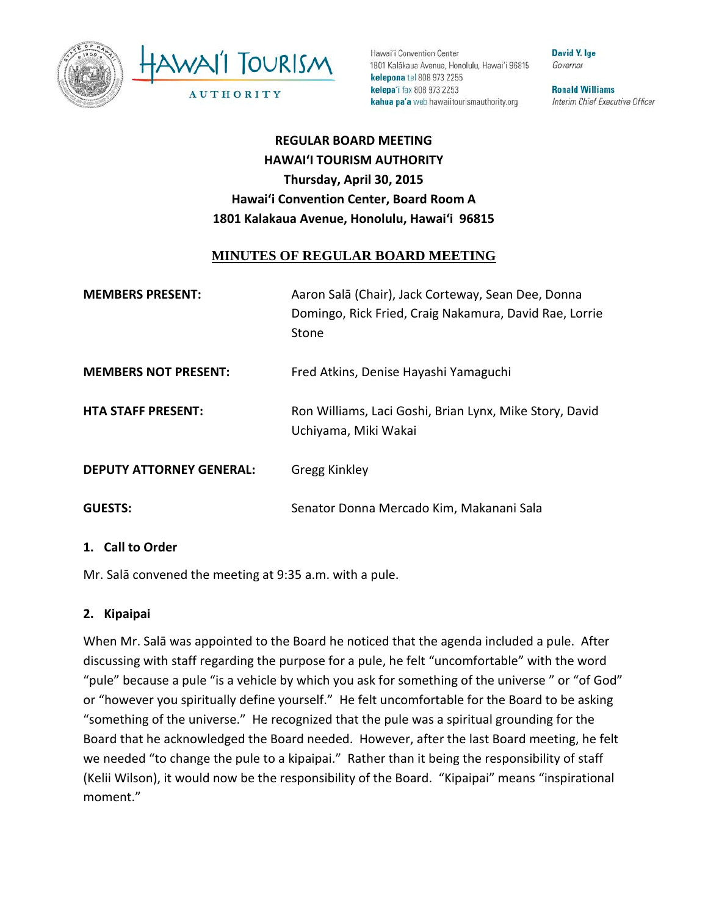



Hawai'i Convention Center 1801 Kalākaua Avenue, Honolulu, Hawai'i 96815 kelepona tel 808 973 2255 kelepa'i fax 808 973 2253 kahua pa'a web hawaiitourismauthority.org

**David Y. Ige** Governor

**Ronald Williams** Interim Chief Executive Officer

# **REGULAR BOARD MEETING HAWAI'I TOURISM AUTHORITY Thursday, April 30, 2015 Hawai'i Convention Center, Board Room A 1801 Kalakaua Avenue, Honolulu, Hawai'i 96815**

#### **MINUTES OF REGULAR BOARD MEETING**

| <b>MEMBERS PRESENT:</b>         | Aaron Salā (Chair), Jack Corteway, Sean Dee, Donna<br>Domingo, Rick Fried, Craig Nakamura, David Rae, Lorrie<br>Stone |
|---------------------------------|-----------------------------------------------------------------------------------------------------------------------|
| <b>MEMBERS NOT PRESENT:</b>     | Fred Atkins, Denise Hayashi Yamaguchi                                                                                 |
| <b>HTA STAFF PRESENT:</b>       | Ron Williams, Laci Goshi, Brian Lynx, Mike Story, David<br>Uchiyama, Miki Wakai                                       |
| <b>DEPUTY ATTORNEY GENERAL:</b> | Gregg Kinkley                                                                                                         |
| <b>GUESTS:</b>                  | Senator Donna Mercado Kim, Makanani Sala                                                                              |

#### **1. Call to Order**

Mr. Salā convened the meeting at 9:35 a.m. with a pule.

#### **2. Kipaipai**

When Mr. Salā was appointed to the Board he noticed that the agenda included a pule. After discussing with staff regarding the purpose for a pule, he felt "uncomfortable" with the word "pule" because a pule "is a vehicle by which you ask for something of the universe " or "of God" or "however you spiritually define yourself." He felt uncomfortable for the Board to be asking "something of the universe." He recognized that the pule was a spiritual grounding for the Board that he acknowledged the Board needed. However, after the last Board meeting, he felt we needed "to change the pule to a kipaipai." Rather than it being the responsibility of staff (Kelii Wilson), it would now be the responsibility of the Board. "Kipaipai" means "inspirational moment."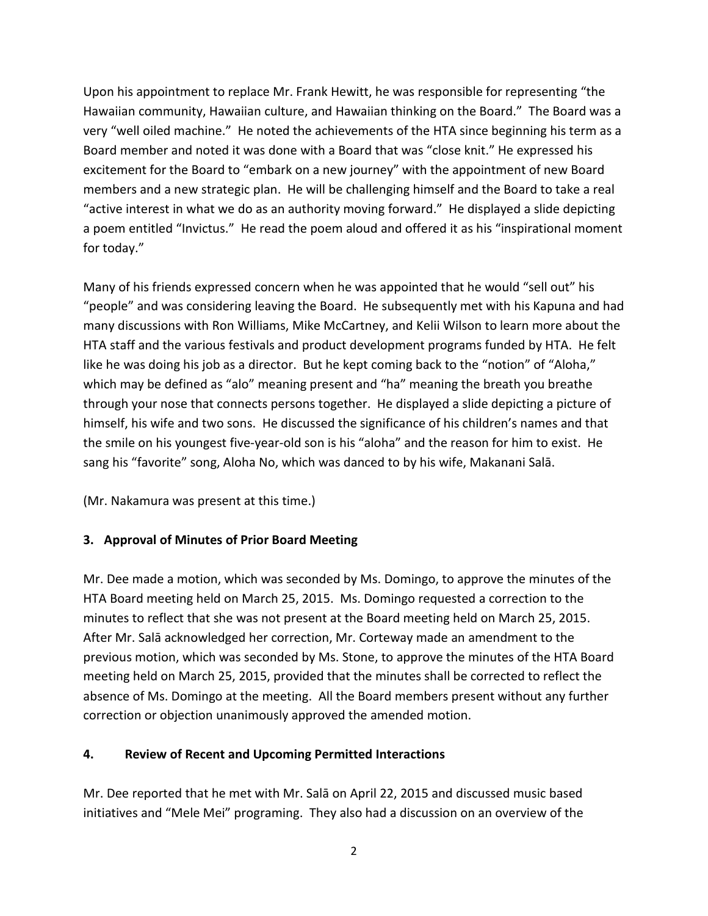Upon his appointment to replace Mr. Frank Hewitt, he was responsible for representing "the Hawaiian community, Hawaiian culture, and Hawaiian thinking on the Board." The Board was a very "well oiled machine." He noted the achievements of the HTA since beginning his term as a Board member and noted it was done with a Board that was "close knit." He expressed his excitement for the Board to "embark on a new journey" with the appointment of new Board members and a new strategic plan. He will be challenging himself and the Board to take a real "active interest in what we do as an authority moving forward." He displayed a slide depicting a poem entitled "Invictus." He read the poem aloud and offered it as his "inspirational moment for today."

Many of his friends expressed concern when he was appointed that he would "sell out" his "people" and was considering leaving the Board. He subsequently met with his Kapuna and had many discussions with Ron Williams, Mike McCartney, and Kelii Wilson to learn more about the HTA staff and the various festivals and product development programs funded by HTA. He felt like he was doing his job as a director. But he kept coming back to the "notion" of "Aloha," which may be defined as "alo" meaning present and "ha" meaning the breath you breathe through your nose that connects persons together. He displayed a slide depicting a picture of himself, his wife and two sons. He discussed the significance of his children's names and that the smile on his youngest five-year-old son is his "aloha" and the reason for him to exist. He sang his "favorite" song, Aloha No, which was danced to by his wife, Makanani Salā.

(Mr. Nakamura was present at this time.)

### **3. Approval of Minutes of Prior Board Meeting**

Mr. Dee made a motion, which was seconded by Ms. Domingo, to approve the minutes of the HTA Board meeting held on March 25, 2015. Ms. Domingo requested a correction to the minutes to reflect that she was not present at the Board meeting held on March 25, 2015. After Mr. Salā acknowledged her correction, Mr. Corteway made an amendment to the previous motion, which was seconded by Ms. Stone, to approve the minutes of the HTA Board meeting held on March 25, 2015, provided that the minutes shall be corrected to reflect the absence of Ms. Domingo at the meeting. All the Board members present without any further correction or objection unanimously approved the amended motion.

### **4. Review of Recent and Upcoming Permitted Interactions**

Mr. Dee reported that he met with Mr. Salā on April 22, 2015 and discussed music based initiatives and "Mele Mei" programing. They also had a discussion on an overview of the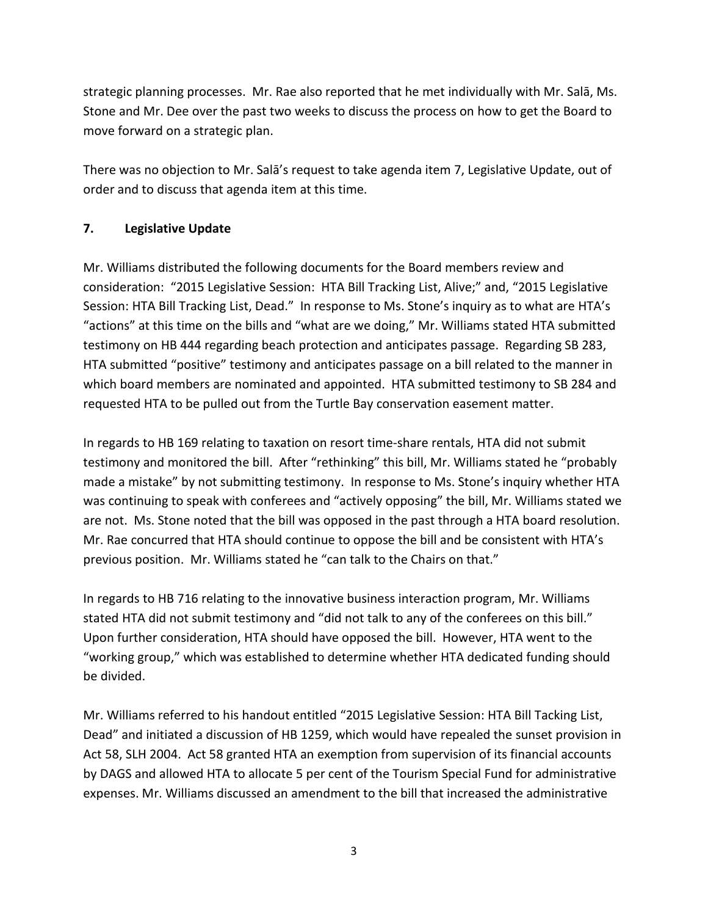strategic planning processes. Mr. Rae also reported that he met individually with Mr. Salā, Ms. Stone and Mr. Dee over the past two weeks to discuss the process on how to get the Board to move forward on a strategic plan.

There was no objection to Mr. Salā's request to take agenda item 7, Legislative Update, out of order and to discuss that agenda item at this time.

#### **7. Legislative Update**

Mr. Williams distributed the following documents for the Board members review and consideration: "2015 Legislative Session: HTA Bill Tracking List, Alive;" and, "2015 Legislative Session: HTA Bill Tracking List, Dead." In response to Ms. Stone's inquiry as to what are HTA's "actions" at this time on the bills and "what are we doing," Mr. Williams stated HTA submitted testimony on HB 444 regarding beach protection and anticipates passage. Regarding SB 283, HTA submitted "positive" testimony and anticipates passage on a bill related to the manner in which board members are nominated and appointed. HTA submitted testimony to SB 284 and requested HTA to be pulled out from the Turtle Bay conservation easement matter.

In regards to HB 169 relating to taxation on resort time-share rentals, HTA did not submit testimony and monitored the bill. After "rethinking" this bill, Mr. Williams stated he "probably made a mistake" by not submitting testimony. In response to Ms. Stone's inquiry whether HTA was continuing to speak with conferees and "actively opposing" the bill, Mr. Williams stated we are not. Ms. Stone noted that the bill was opposed in the past through a HTA board resolution. Mr. Rae concurred that HTA should continue to oppose the bill and be consistent with HTA's previous position. Mr. Williams stated he "can talk to the Chairs on that."

In regards to HB 716 relating to the innovative business interaction program, Mr. Williams stated HTA did not submit testimony and "did not talk to any of the conferees on this bill." Upon further consideration, HTA should have opposed the bill. However, HTA went to the "working group," which was established to determine whether HTA dedicated funding should be divided.

Mr. Williams referred to his handout entitled "2015 Legislative Session: HTA Bill Tacking List, Dead" and initiated a discussion of HB 1259, which would have repealed the sunset provision in Act 58, SLH 2004. Act 58 granted HTA an exemption from supervision of its financial accounts by DAGS and allowed HTA to allocate 5 per cent of the Tourism Special Fund for administrative expenses. Mr. Williams discussed an amendment to the bill that increased the administrative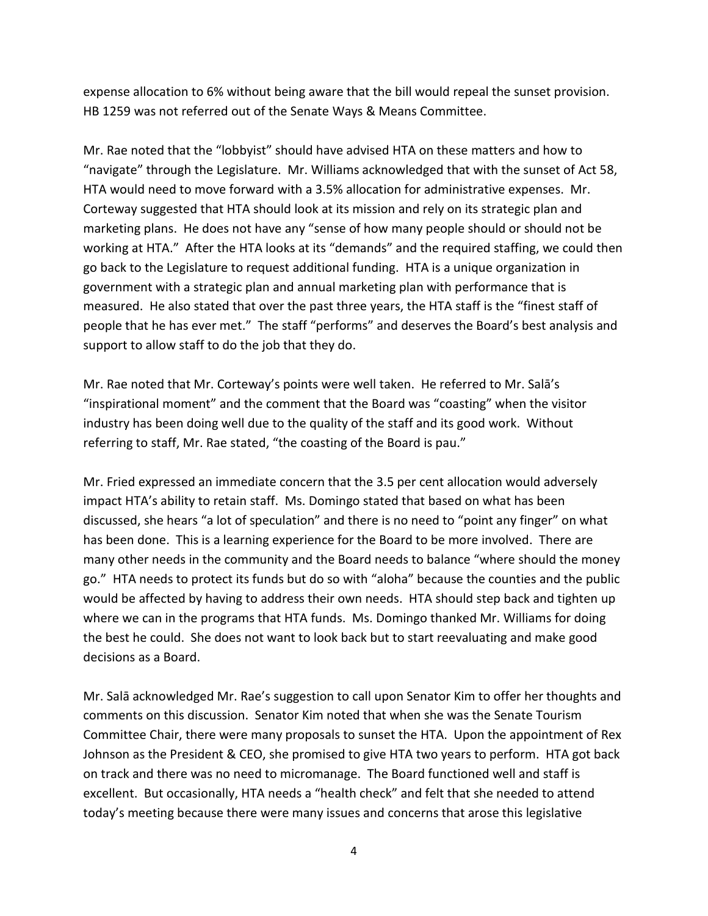expense allocation to 6% without being aware that the bill would repeal the sunset provision. HB 1259 was not referred out of the Senate Ways & Means Committee.

Mr. Rae noted that the "lobbyist" should have advised HTA on these matters and how to "navigate" through the Legislature. Mr. Williams acknowledged that with the sunset of Act 58, HTA would need to move forward with a 3.5% allocation for administrative expenses. Mr. Corteway suggested that HTA should look at its mission and rely on its strategic plan and marketing plans. He does not have any "sense of how many people should or should not be working at HTA." After the HTA looks at its "demands" and the required staffing, we could then go back to the Legislature to request additional funding. HTA is a unique organization in government with a strategic plan and annual marketing plan with performance that is measured. He also stated that over the past three years, the HTA staff is the "finest staff of people that he has ever met." The staff "performs" and deserves the Board's best analysis and support to allow staff to do the job that they do.

Mr. Rae noted that Mr. Corteway's points were well taken. He referred to Mr. Salā's "inspirational moment" and the comment that the Board was "coasting" when the visitor industry has been doing well due to the quality of the staff and its good work. Without referring to staff, Mr. Rae stated, "the coasting of the Board is pau."

Mr. Fried expressed an immediate concern that the 3.5 per cent allocation would adversely impact HTA's ability to retain staff. Ms. Domingo stated that based on what has been discussed, she hears "a lot of speculation" and there is no need to "point any finger" on what has been done. This is a learning experience for the Board to be more involved. There are many other needs in the community and the Board needs to balance "where should the money go." HTA needs to protect its funds but do so with "aloha" because the counties and the public would be affected by having to address their own needs. HTA should step back and tighten up where we can in the programs that HTA funds. Ms. Domingo thanked Mr. Williams for doing the best he could. She does not want to look back but to start reevaluating and make good decisions as a Board.

Mr. Salā acknowledged Mr. Rae's suggestion to call upon Senator Kim to offer her thoughts and comments on this discussion. Senator Kim noted that when she was the Senate Tourism Committee Chair, there were many proposals to sunset the HTA. Upon the appointment of Rex Johnson as the President & CEO, she promised to give HTA two years to perform. HTA got back on track and there was no need to micromanage. The Board functioned well and staff is excellent. But occasionally, HTA needs a "health check" and felt that she needed to attend today's meeting because there were many issues and concerns that arose this legislative

4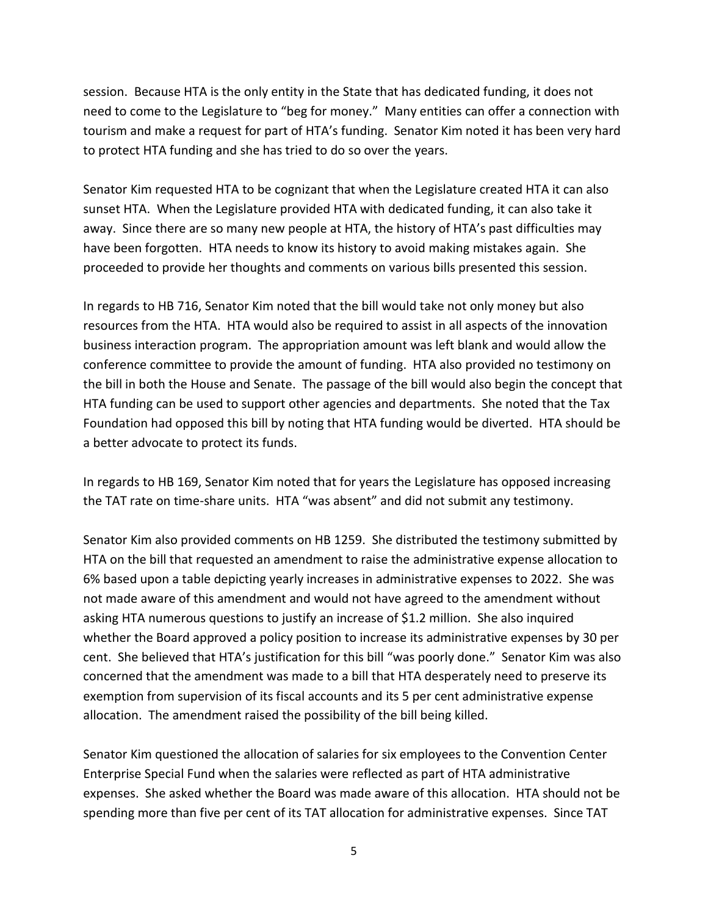session. Because HTA is the only entity in the State that has dedicated funding, it does not need to come to the Legislature to "beg for money." Many entities can offer a connection with tourism and make a request for part of HTA's funding. Senator Kim noted it has been very hard to protect HTA funding and she has tried to do so over the years.

Senator Kim requested HTA to be cognizant that when the Legislature created HTA it can also sunset HTA. When the Legislature provided HTA with dedicated funding, it can also take it away. Since there are so many new people at HTA, the history of HTA's past difficulties may have been forgotten. HTA needs to know its history to avoid making mistakes again. She proceeded to provide her thoughts and comments on various bills presented this session.

In regards to HB 716, Senator Kim noted that the bill would take not only money but also resources from the HTA. HTA would also be required to assist in all aspects of the innovation business interaction program. The appropriation amount was left blank and would allow the conference committee to provide the amount of funding. HTA also provided no testimony on the bill in both the House and Senate. The passage of the bill would also begin the concept that HTA funding can be used to support other agencies and departments. She noted that the Tax Foundation had opposed this bill by noting that HTA funding would be diverted. HTA should be a better advocate to protect its funds.

In regards to HB 169, Senator Kim noted that for years the Legislature has opposed increasing the TAT rate on time-share units. HTA "was absent" and did not submit any testimony.

Senator Kim also provided comments on HB 1259. She distributed the testimony submitted by HTA on the bill that requested an amendment to raise the administrative expense allocation to 6% based upon a table depicting yearly increases in administrative expenses to 2022. She was not made aware of this amendment and would not have agreed to the amendment without asking HTA numerous questions to justify an increase of \$1.2 million. She also inquired whether the Board approved a policy position to increase its administrative expenses by 30 per cent. She believed that HTA's justification for this bill "was poorly done." Senator Kim was also concerned that the amendment was made to a bill that HTA desperately need to preserve its exemption from supervision of its fiscal accounts and its 5 per cent administrative expense allocation. The amendment raised the possibility of the bill being killed.

Senator Kim questioned the allocation of salaries for six employees to the Convention Center Enterprise Special Fund when the salaries were reflected as part of HTA administrative expenses. She asked whether the Board was made aware of this allocation. HTA should not be spending more than five per cent of its TAT allocation for administrative expenses. Since TAT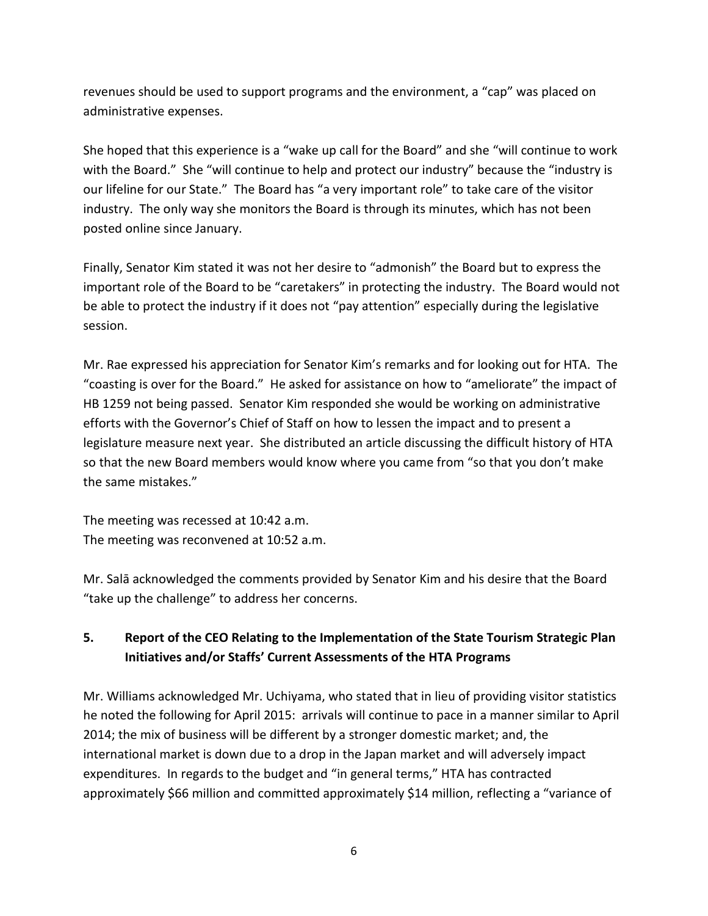revenues should be used to support programs and the environment, a "cap" was placed on administrative expenses.

She hoped that this experience is a "wake up call for the Board" and she "will continue to work with the Board." She "will continue to help and protect our industry" because the "industry is our lifeline for our State." The Board has "a very important role" to take care of the visitor industry. The only way she monitors the Board is through its minutes, which has not been posted online since January.

Finally, Senator Kim stated it was not her desire to "admonish" the Board but to express the important role of the Board to be "caretakers" in protecting the industry. The Board would not be able to protect the industry if it does not "pay attention" especially during the legislative session.

Mr. Rae expressed his appreciation for Senator Kim's remarks and for looking out for HTA. The "coasting is over for the Board." He asked for assistance on how to "ameliorate" the impact of HB 1259 not being passed. Senator Kim responded she would be working on administrative efforts with the Governor's Chief of Staff on how to lessen the impact and to present a legislature measure next year. She distributed an article discussing the difficult history of HTA so that the new Board members would know where you came from "so that you don't make the same mistakes."

The meeting was recessed at 10:42 a.m. The meeting was reconvened at 10:52 a.m.

Mr. Salā acknowledged the comments provided by Senator Kim and his desire that the Board "take up the challenge" to address her concerns.

# **5. Report of the CEO Relating to the Implementation of the State Tourism Strategic Plan Initiatives and/or Staffs' Current Assessments of the HTA Programs**

Mr. Williams acknowledged Mr. Uchiyama, who stated that in lieu of providing visitor statistics he noted the following for April 2015: arrivals will continue to pace in a manner similar to April 2014; the mix of business will be different by a stronger domestic market; and, the international market is down due to a drop in the Japan market and will adversely impact expenditures. In regards to the budget and "in general terms," HTA has contracted approximately \$66 million and committed approximately \$14 million, reflecting a "variance of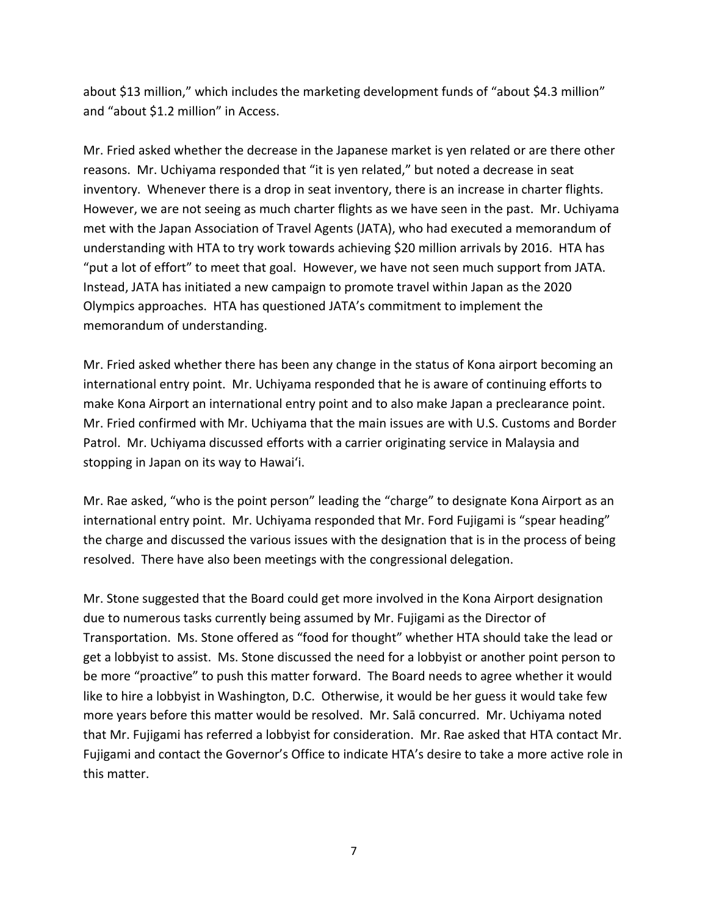about \$13 million," which includes the marketing development funds of "about \$4.3 million" and "about \$1.2 million" in Access.

Mr. Fried asked whether the decrease in the Japanese market is yen related or are there other reasons. Mr. Uchiyama responded that "it is yen related," but noted a decrease in seat inventory. Whenever there is a drop in seat inventory, there is an increase in charter flights. However, we are not seeing as much charter flights as we have seen in the past. Mr. Uchiyama met with the Japan Association of Travel Agents (JATA), who had executed a memorandum of understanding with HTA to try work towards achieving \$20 million arrivals by 2016. HTA has "put a lot of effort" to meet that goal. However, we have not seen much support from JATA. Instead, JATA has initiated a new campaign to promote travel within Japan as the 2020 Olympics approaches. HTA has questioned JATA's commitment to implement the memorandum of understanding.

Mr. Fried asked whether there has been any change in the status of Kona airport becoming an international entry point. Mr. Uchiyama responded that he is aware of continuing efforts to make Kona Airport an international entry point and to also make Japan a preclearance point. Mr. Fried confirmed with Mr. Uchiyama that the main issues are with U.S. Customs and Border Patrol. Mr. Uchiyama discussed efforts with a carrier originating service in Malaysia and stopping in Japan on its way to Hawai'i.

Mr. Rae asked, "who is the point person" leading the "charge" to designate Kona Airport as an international entry point. Mr. Uchiyama responded that Mr. Ford Fujigami is "spear heading" the charge and discussed the various issues with the designation that is in the process of being resolved. There have also been meetings with the congressional delegation.

Mr. Stone suggested that the Board could get more involved in the Kona Airport designation due to numerous tasks currently being assumed by Mr. Fujigami as the Director of Transportation. Ms. Stone offered as "food for thought" whether HTA should take the lead or get a lobbyist to assist. Ms. Stone discussed the need for a lobbyist or another point person to be more "proactive" to push this matter forward. The Board needs to agree whether it would like to hire a lobbyist in Washington, D.C. Otherwise, it would be her guess it would take few more years before this matter would be resolved. Mr. Salā concurred. Mr. Uchiyama noted that Mr. Fujigami has referred a lobbyist for consideration. Mr. Rae asked that HTA contact Mr. Fujigami and contact the Governor's Office to indicate HTA's desire to take a more active role in this matter.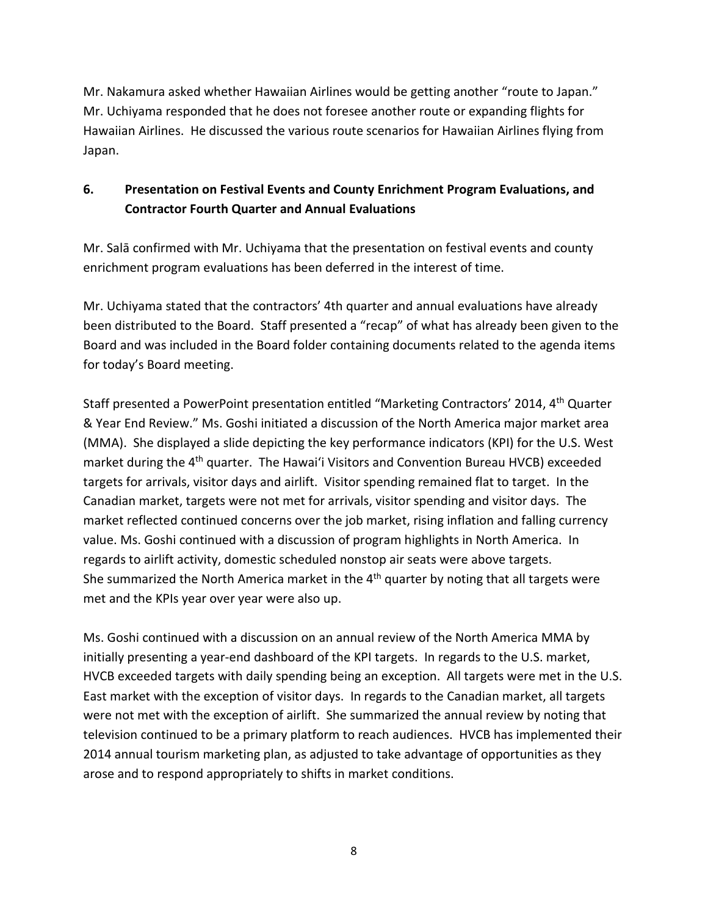Mr. Nakamura asked whether Hawaiian Airlines would be getting another "route to Japan." Mr. Uchiyama responded that he does not foresee another route or expanding flights for Hawaiian Airlines. He discussed the various route scenarios for Hawaiian Airlines flying from Japan.

# **6. Presentation on Festival Events and County Enrichment Program Evaluations, and Contractor Fourth Quarter and Annual Evaluations**

Mr. Salā confirmed with Mr. Uchiyama that the presentation on festival events and county enrichment program evaluations has been deferred in the interest of time.

Mr. Uchiyama stated that the contractors' 4th quarter and annual evaluations have already been distributed to the Board. Staff presented a "recap" of what has already been given to the Board and was included in the Board folder containing documents related to the agenda items for today's Board meeting.

Staff presented a PowerPoint presentation entitled "Marketing Contractors' 2014, 4th Quarter & Year End Review." Ms. Goshi initiated a discussion of the North America major market area (MMA). She displayed a slide depicting the key performance indicators (KPI) for the U.S. West market during the 4<sup>th</sup> quarter. The Hawai'i Visitors and Convention Bureau HVCB) exceeded targets for arrivals, visitor days and airlift. Visitor spending remained flat to target. In the Canadian market, targets were not met for arrivals, visitor spending and visitor days. The market reflected continued concerns over the job market, rising inflation and falling currency value. Ms. Goshi continued with a discussion of program highlights in North America. In regards to airlift activity, domestic scheduled nonstop air seats were above targets. She summarized the North America market in the  $4<sup>th</sup>$  quarter by noting that all targets were met and the KPIs year over year were also up.

Ms. Goshi continued with a discussion on an annual review of the North America MMA by initially presenting a year-end dashboard of the KPI targets. In regards to the U.S. market, HVCB exceeded targets with daily spending being an exception. All targets were met in the U.S. East market with the exception of visitor days. In regards to the Canadian market, all targets were not met with the exception of airlift. She summarized the annual review by noting that television continued to be a primary platform to reach audiences. HVCB has implemented their 2014 annual tourism marketing plan, as adjusted to take advantage of opportunities as they arose and to respond appropriately to shifts in market conditions.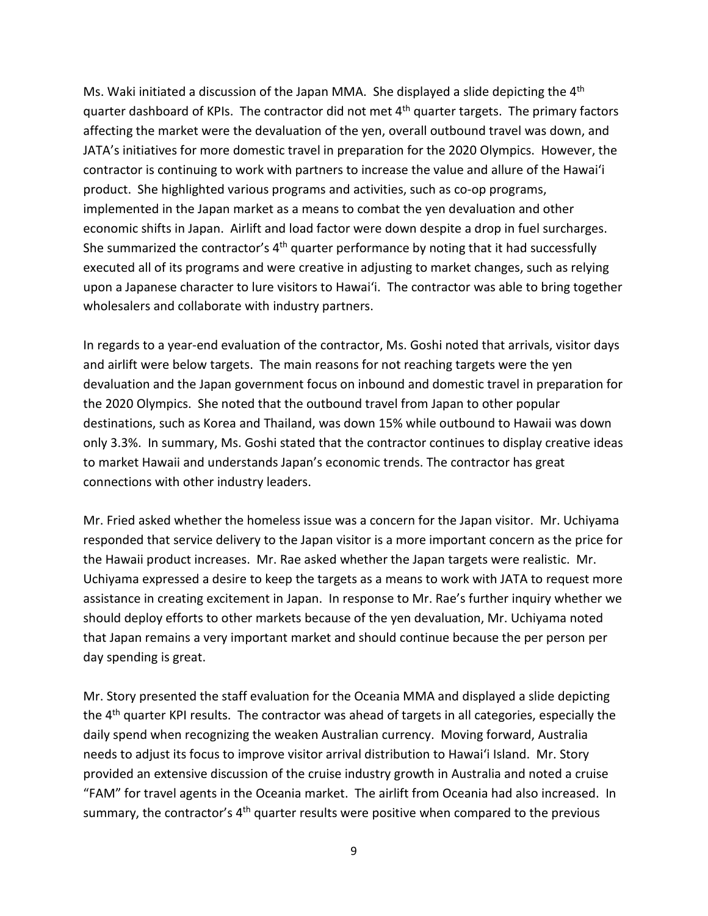Ms. Waki initiated a discussion of the Japan MMA. She displayed a slide depicting the 4th quarter dashboard of KPIs. The contractor did not met 4<sup>th</sup> quarter targets. The primary factors affecting the market were the devaluation of the yen, overall outbound travel was down, and JATA's initiatives for more domestic travel in preparation for the 2020 Olympics. However, the contractor is continuing to work with partners to increase the value and allure of the Hawai'i product. She highlighted various programs and activities, such as co-op programs, implemented in the Japan market as a means to combat the yen devaluation and other economic shifts in Japan. Airlift and load factor were down despite a drop in fuel surcharges. She summarized the contractor's  $4<sup>th</sup>$  quarter performance by noting that it had successfully executed all of its programs and were creative in adjusting to market changes, such as relying upon a Japanese character to lure visitors to Hawai'i. The contractor was able to bring together wholesalers and collaborate with industry partners.

In regards to a year-end evaluation of the contractor, Ms. Goshi noted that arrivals, visitor days and airlift were below targets. The main reasons for not reaching targets were the yen devaluation and the Japan government focus on inbound and domestic travel in preparation for the 2020 Olympics. She noted that the outbound travel from Japan to other popular destinations, such as Korea and Thailand, was down 15% while outbound to Hawaii was down only 3.3%. In summary, Ms. Goshi stated that the contractor continues to display creative ideas to market Hawaii and understands Japan's economic trends. The contractor has great connections with other industry leaders.

Mr. Fried asked whether the homeless issue was a concern for the Japan visitor. Mr. Uchiyama responded that service delivery to the Japan visitor is a more important concern as the price for the Hawaii product increases. Mr. Rae asked whether the Japan targets were realistic. Mr. Uchiyama expressed a desire to keep the targets as a means to work with JATA to request more assistance in creating excitement in Japan. In response to Mr. Rae's further inquiry whether we should deploy efforts to other markets because of the yen devaluation, Mr. Uchiyama noted that Japan remains a very important market and should continue because the per person per day spending is great.

Mr. Story presented the staff evaluation for the Oceania MMA and displayed a slide depicting the 4<sup>th</sup> quarter KPI results. The contractor was ahead of targets in all categories, especially the daily spend when recognizing the weaken Australian currency. Moving forward, Australia needs to adjust its focus to improve visitor arrival distribution to Hawai'i Island. Mr. Story provided an extensive discussion of the cruise industry growth in Australia and noted a cruise "FAM" for travel agents in the Oceania market. The airlift from Oceania had also increased. In summary, the contractor's  $4<sup>th</sup>$  quarter results were positive when compared to the previous

9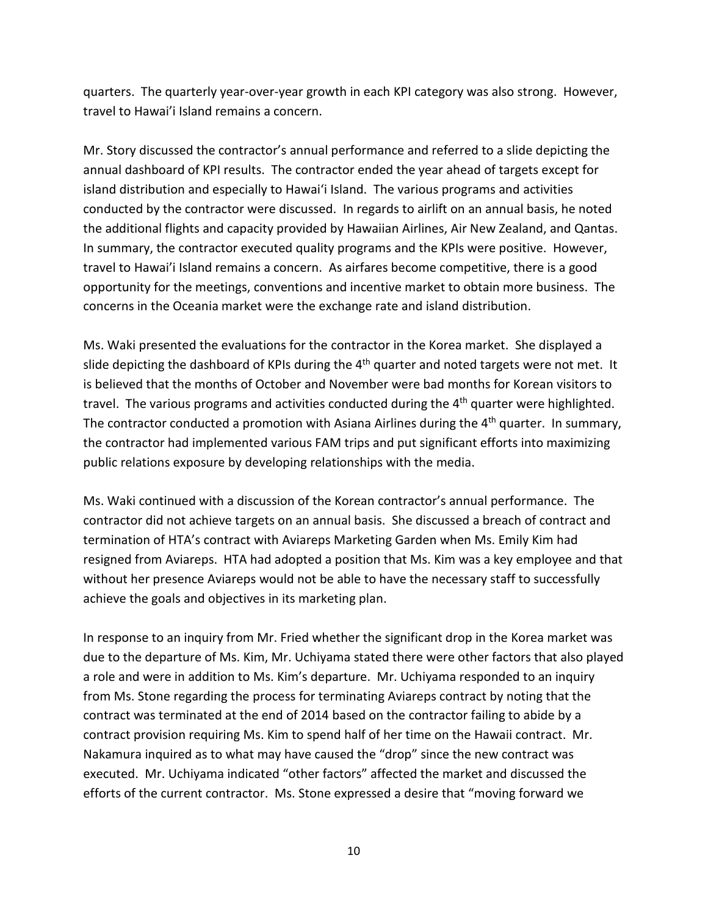quarters. The quarterly year-over-year growth in each KPI category was also strong. However, travel to Hawai'i Island remains a concern.

Mr. Story discussed the contractor's annual performance and referred to a slide depicting the annual dashboard of KPI results. The contractor ended the year ahead of targets except for island distribution and especially to Hawai'i Island. The various programs and activities conducted by the contractor were discussed. In regards to airlift on an annual basis, he noted the additional flights and capacity provided by Hawaiian Airlines, Air New Zealand, and Qantas. In summary, the contractor executed quality programs and the KPIs were positive. However, travel to Hawai'i Island remains a concern. As airfares become competitive, there is a good opportunity for the meetings, conventions and incentive market to obtain more business. The concerns in the Oceania market were the exchange rate and island distribution.

Ms. Waki presented the evaluations for the contractor in the Korea market. She displayed a slide depicting the dashboard of KPIs during the  $4<sup>th</sup>$  quarter and noted targets were not met. It is believed that the months of October and November were bad months for Korean visitors to travel. The various programs and activities conducted during the 4<sup>th</sup> quarter were highlighted. The contractor conducted a promotion with Asiana Airlines during the  $4<sup>th</sup>$  quarter. In summary, the contractor had implemented various FAM trips and put significant efforts into maximizing public relations exposure by developing relationships with the media.

Ms. Waki continued with a discussion of the Korean contractor's annual performance. The contractor did not achieve targets on an annual basis. She discussed a breach of contract and termination of HTA's contract with Aviareps Marketing Garden when Ms. Emily Kim had resigned from Aviareps. HTA had adopted a position that Ms. Kim was a key employee and that without her presence Aviareps would not be able to have the necessary staff to successfully achieve the goals and objectives in its marketing plan.

In response to an inquiry from Mr. Fried whether the significant drop in the Korea market was due to the departure of Ms. Kim, Mr. Uchiyama stated there were other factors that also played a role and were in addition to Ms. Kim's departure. Mr. Uchiyama responded to an inquiry from Ms. Stone regarding the process for terminating Aviareps contract by noting that the contract was terminated at the end of 2014 based on the contractor failing to abide by a contract provision requiring Ms. Kim to spend half of her time on the Hawaii contract. Mr. Nakamura inquired as to what may have caused the "drop" since the new contract was executed. Mr. Uchiyama indicated "other factors" affected the market and discussed the efforts of the current contractor. Ms. Stone expressed a desire that "moving forward we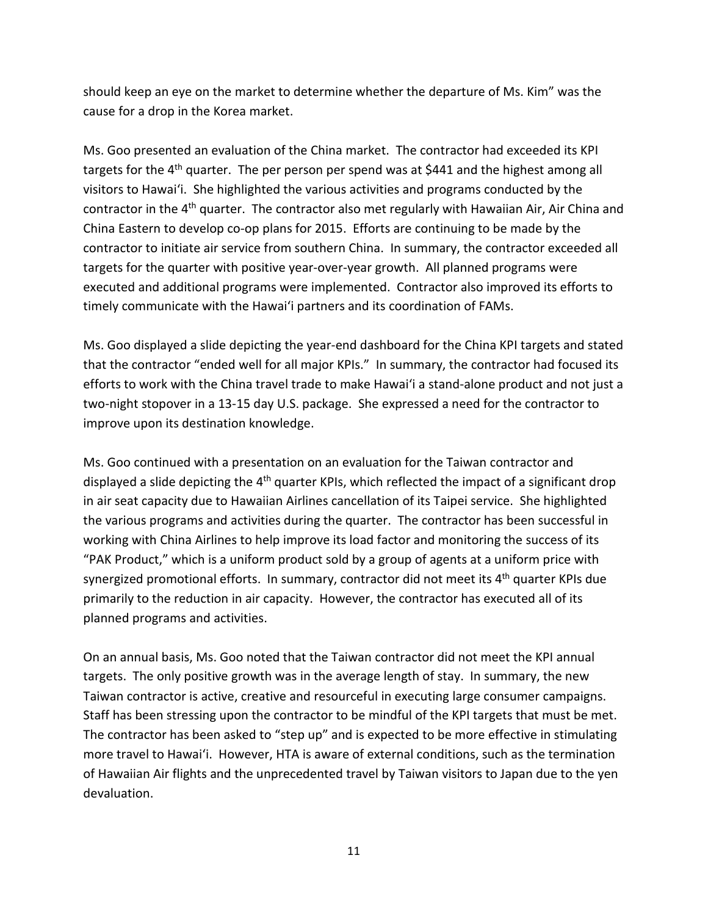should keep an eye on the market to determine whether the departure of Ms. Kim" was the cause for a drop in the Korea market.

Ms. Goo presented an evaluation of the China market. The contractor had exceeded its KPI targets for the 4<sup>th</sup> quarter. The per person per spend was at \$441 and the highest among all visitors to Hawai'i. She highlighted the various activities and programs conducted by the contractor in the 4<sup>th</sup> quarter. The contractor also met regularly with Hawaiian Air, Air China and China Eastern to develop co-op plans for 2015. Efforts are continuing to be made by the contractor to initiate air service from southern China. In summary, the contractor exceeded all targets for the quarter with positive year-over-year growth. All planned programs were executed and additional programs were implemented. Contractor also improved its efforts to timely communicate with the Hawai'i partners and its coordination of FAMs.

Ms. Goo displayed a slide depicting the year-end dashboard for the China KPI targets and stated that the contractor "ended well for all major KPIs." In summary, the contractor had focused its efforts to work with the China travel trade to make Hawai'i a stand-alone product and not just a two-night stopover in a 13-15 day U.S. package. She expressed a need for the contractor to improve upon its destination knowledge.

Ms. Goo continued with a presentation on an evaluation for the Taiwan contractor and displayed a slide depicting the  $4<sup>th</sup>$  quarter KPIs, which reflected the impact of a significant drop in air seat capacity due to Hawaiian Airlines cancellation of its Taipei service. She highlighted the various programs and activities during the quarter. The contractor has been successful in working with China Airlines to help improve its load factor and monitoring the success of its "PAK Product," which is a uniform product sold by a group of agents at a uniform price with synergized promotional efforts. In summary, contractor did not meet its 4<sup>th</sup> quarter KPIs due primarily to the reduction in air capacity. However, the contractor has executed all of its planned programs and activities.

On an annual basis, Ms. Goo noted that the Taiwan contractor did not meet the KPI annual targets. The only positive growth was in the average length of stay. In summary, the new Taiwan contractor is active, creative and resourceful in executing large consumer campaigns. Staff has been stressing upon the contractor to be mindful of the KPI targets that must be met. The contractor has been asked to "step up" and is expected to be more effective in stimulating more travel to Hawai'i. However, HTA is aware of external conditions, such as the termination of Hawaiian Air flights and the unprecedented travel by Taiwan visitors to Japan due to the yen devaluation.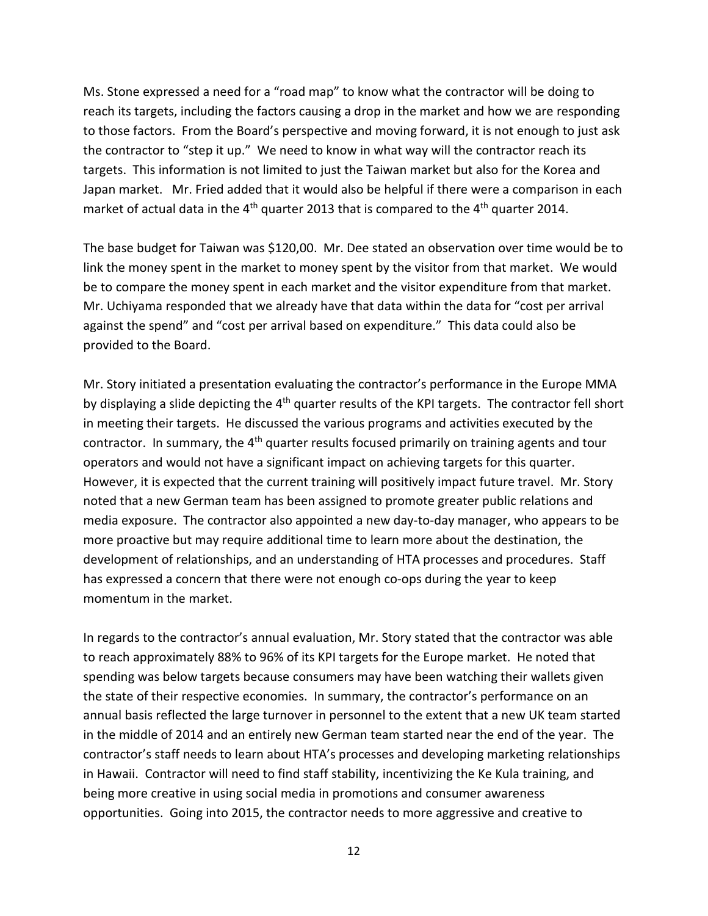Ms. Stone expressed a need for a "road map" to know what the contractor will be doing to reach its targets, including the factors causing a drop in the market and how we are responding to those factors. From the Board's perspective and moving forward, it is not enough to just ask the contractor to "step it up." We need to know in what way will the contractor reach its targets. This information is not limited to just the Taiwan market but also for the Korea and Japan market. Mr. Fried added that it would also be helpful if there were a comparison in each market of actual data in the  $4<sup>th</sup>$  quarter 2013 that is compared to the  $4<sup>th</sup>$  quarter 2014.

The base budget for Taiwan was \$120,00. Mr. Dee stated an observation over time would be to link the money spent in the market to money spent by the visitor from that market. We would be to compare the money spent in each market and the visitor expenditure from that market. Mr. Uchiyama responded that we already have that data within the data for "cost per arrival against the spend" and "cost per arrival based on expenditure." This data could also be provided to the Board.

Mr. Story initiated a presentation evaluating the contractor's performance in the Europe MMA by displaying a slide depicting the 4<sup>th</sup> quarter results of the KPI targets. The contractor fell short in meeting their targets. He discussed the various programs and activities executed by the contractor. In summary, the 4<sup>th</sup> quarter results focused primarily on training agents and tour operators and would not have a significant impact on achieving targets for this quarter. However, it is expected that the current training will positively impact future travel. Mr. Story noted that a new German team has been assigned to promote greater public relations and media exposure. The contractor also appointed a new day-to-day manager, who appears to be more proactive but may require additional time to learn more about the destination, the development of relationships, and an understanding of HTA processes and procedures. Staff has expressed a concern that there were not enough co-ops during the year to keep momentum in the market.

In regards to the contractor's annual evaluation, Mr. Story stated that the contractor was able to reach approximately 88% to 96% of its KPI targets for the Europe market. He noted that spending was below targets because consumers may have been watching their wallets given the state of their respective economies. In summary, the contractor's performance on an annual basis reflected the large turnover in personnel to the extent that a new UK team started in the middle of 2014 and an entirely new German team started near the end of the year. The contractor's staff needs to learn about HTA's processes and developing marketing relationships in Hawaii. Contractor will need to find staff stability, incentivizing the Ke Kula training, and being more creative in using social media in promotions and consumer awareness opportunities. Going into 2015, the contractor needs to more aggressive and creative to

12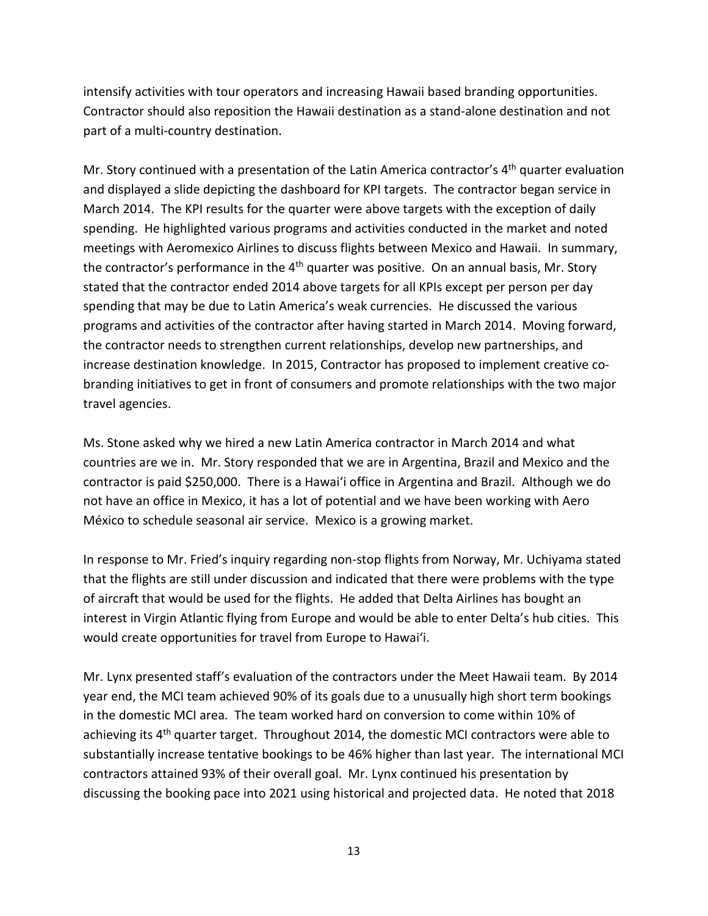intensify activities with tour operators and increasing Hawaii based branding opportunities. Contractor should also reposition the Hawaii destination as a stand-alone destination and not part of a multi-country destination.

Mr. Story continued with a presentation of the Latin America contractor's 4<sup>th</sup> quarter evaluation and displayed a slide depicting the dashboard for KPI targets. The contractor began service in March 2014. The KPI results for the quarter were above targets with the exception of daily spending. He highlighted various programs and activities conducted in the market and noted meetings with Aeromexico Airlines to discuss flights between Mexico and Hawaii. In summary, the contractor's performance in the  $4<sup>th</sup>$  quarter was positive. On an annual basis, Mr. Story stated that the contractor ended 2014 above targets for all KPIs except per person per day spending that may be due to Latin America's weak currencies. He discussed the various programs and activities of the contractor after having started in March 2014. Moving forward, the contractor needs to strengthen current relationships, develop new partnerships, and increase destination knowledge. In 2015, Contractor has proposed to implement creative cobranding initiatives to get in front of consumers and promote relationships with the two major travel agencies.

Ms. Stone asked why we hired a new Latin America contractor in March 2014 and what countries are we in. Mr. Story responded that we are in Argentina, Brazil and Mexico and the contractor is paid \$250,000. There is a Hawai'i office in Argentina and Brazil. Although we do not have an office in Mexico, it has a lot of potential and we have been working with Aero México to schedule seasonal air service. Mexico is a growing market.

In response to Mr. Fried's inquiry regarding non-stop flights from Norway, Mr. Uchiyama stated that the flights are still under discussion and indicated that there were problems with the type of aircraft that would be used for the flights. He added that Delta Airlines has bought an interest in Virgin Atlantic flying from Europe and would be able to enter Delta's hub cities. This would create opportunities for travel from Europe to Hawai'i.

Mr. Lynx presented staff's evaluation of the contractors under the Meet Hawaii team. By 2014 year end, the MCI team achieved 90% of its goals due to a unusually high short term bookings in the domestic MCI area. The team worked hard on conversion to come within 10% of achieving its  $4<sup>th</sup>$  quarter target. Throughout 2014, the domestic MCI contractors were able to substantially increase tentative bookings to be 46% higher than last year. The international MCI contractors attained 93% of their overall goal. Mr. Lynx continued his presentation by discussing the booking pace into 2021 using historical and projected data. He noted that 2018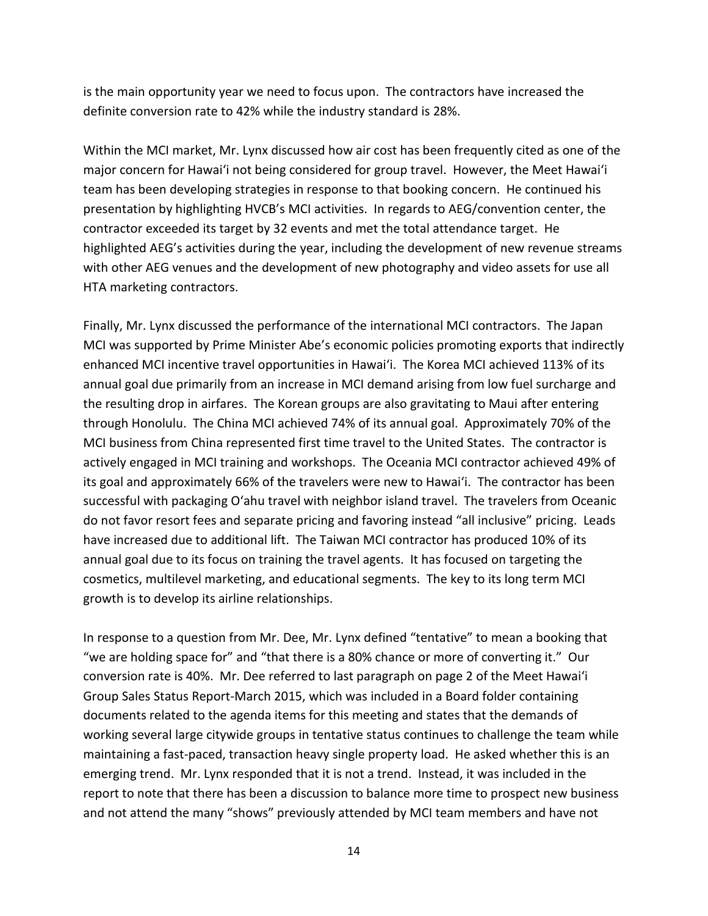is the main opportunity year we need to focus upon. The contractors have increased the definite conversion rate to 42% while the industry standard is 28%.

Within the MCI market, Mr. Lynx discussed how air cost has been frequently cited as one of the major concern for Hawai'i not being considered for group travel. However, the Meet Hawai'i team has been developing strategies in response to that booking concern. He continued his presentation by highlighting HVCB's MCI activities. In regards to AEG/convention center, the contractor exceeded its target by 32 events and met the total attendance target. He highlighted AEG's activities during the year, including the development of new revenue streams with other AEG venues and the development of new photography and video assets for use all HTA marketing contractors.

Finally, Mr. Lynx discussed the performance of the international MCI contractors. The Japan MCI was supported by Prime Minister Abe's economic policies promoting exports that indirectly enhanced MCI incentive travel opportunities in Hawai'i. The Korea MCI achieved 113% of its annual goal due primarily from an increase in MCI demand arising from low fuel surcharge and the resulting drop in airfares. The Korean groups are also gravitating to Maui after entering through Honolulu. The China MCI achieved 74% of its annual goal. Approximately 70% of the MCI business from China represented first time travel to the United States. The contractor is actively engaged in MCI training and workshops. The Oceania MCI contractor achieved 49% of its goal and approximately 66% of the travelers were new to Hawai'i. The contractor has been successful with packaging O'ahu travel with neighbor island travel. The travelers from Oceanic do not favor resort fees and separate pricing and favoring instead "all inclusive" pricing. Leads have increased due to additional lift. The Taiwan MCI contractor has produced 10% of its annual goal due to its focus on training the travel agents. It has focused on targeting the cosmetics, multilevel marketing, and educational segments. The key to its long term MCI growth is to develop its airline relationships.

In response to a question from Mr. Dee, Mr. Lynx defined "tentative" to mean a booking that "we are holding space for" and "that there is a 80% chance or more of converting it." Our conversion rate is 40%. Mr. Dee referred to last paragraph on page 2 of the Meet Hawai'i Group Sales Status Report-March 2015, which was included in a Board folder containing documents related to the agenda items for this meeting and states that the demands of working several large citywide groups in tentative status continues to challenge the team while maintaining a fast-paced, transaction heavy single property load. He asked whether this is an emerging trend. Mr. Lynx responded that it is not a trend. Instead, it was included in the report to note that there has been a discussion to balance more time to prospect new business and not attend the many "shows" previously attended by MCI team members and have not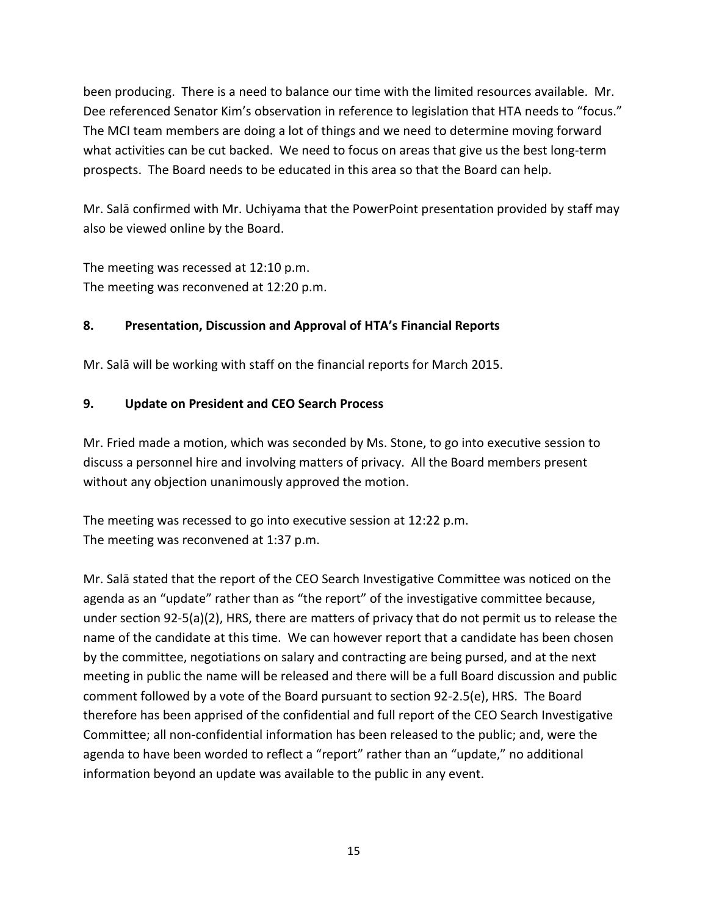been producing. There is a need to balance our time with the limited resources available. Mr. Dee referenced Senator Kim's observation in reference to legislation that HTA needs to "focus." The MCI team members are doing a lot of things and we need to determine moving forward what activities can be cut backed. We need to focus on areas that give us the best long-term prospects. The Board needs to be educated in this area so that the Board can help.

Mr. Salā confirmed with Mr. Uchiyama that the PowerPoint presentation provided by staff may also be viewed online by the Board.

The meeting was recessed at 12:10 p.m. The meeting was reconvened at 12:20 p.m.

#### **8. Presentation, Discussion and Approval of HTA's Financial Reports**

Mr. Salā will be working with staff on the financial reports for March 2015.

#### **9. Update on President and CEO Search Process**

Mr. Fried made a motion, which was seconded by Ms. Stone, to go into executive session to discuss a personnel hire and involving matters of privacy. All the Board members present without any objection unanimously approved the motion.

The meeting was recessed to go into executive session at 12:22 p.m. The meeting was reconvened at 1:37 p.m.

Mr. Salā stated that the report of the CEO Search Investigative Committee was noticed on the agenda as an "update" rather than as "the report" of the investigative committee because, under section 92-5(a)(2), HRS, there are matters of privacy that do not permit us to release the name of the candidate at this time. We can however report that a candidate has been chosen by the committee, negotiations on salary and contracting are being pursed, and at the next meeting in public the name will be released and there will be a full Board discussion and public comment followed by a vote of the Board pursuant to section 92-2.5(e), HRS. The Board therefore has been apprised of the confidential and full report of the CEO Search Investigative Committee; all non-confidential information has been released to the public; and, were the agenda to have been worded to reflect a "report" rather than an "update," no additional information beyond an update was available to the public in any event.